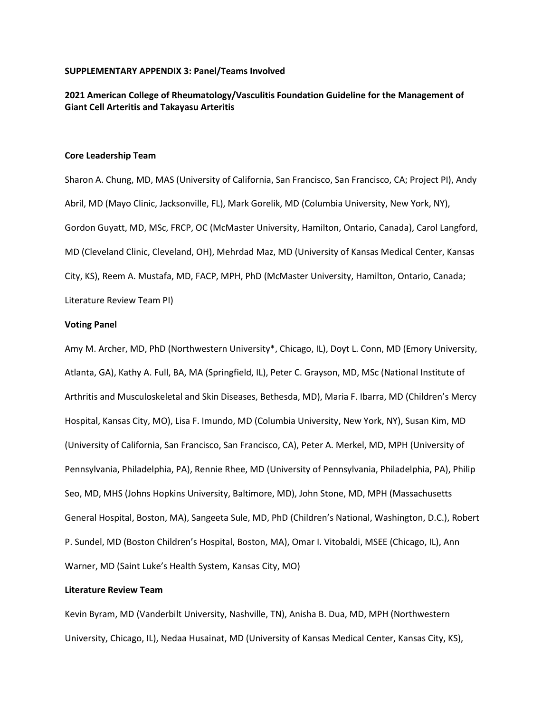### **SUPPLEMENTARY APPENDIX 3: Panel/Teams Involved**

# **2021 American College of Rheumatology/Vasculitis Foundation Guideline for the Management of Giant Cell Arteritis and Takayasu Arteritis**

### **Core Leadership Team**

Sharon A. Chung, MD, MAS (University of California, San Francisco, San Francisco, CA; Project PI), Andy Abril, MD (Mayo Clinic, Jacksonville, FL), Mark Gorelik, MD (Columbia University, New York, NY), Gordon Guyatt, MD, MSc, FRCP, OC (McMaster University, Hamilton, Ontario, Canada), Carol Langford, MD (Cleveland Clinic, Cleveland, OH), Mehrdad Maz, MD (University of Kansas Medical Center, Kansas City, KS), Reem A. Mustafa, MD, FACP, MPH, PhD (McMaster University, Hamilton, Ontario, Canada; Literature Review Team PI)

#### **Voting Panel**

Amy M. Archer, MD, PhD (Northwestern University\*, Chicago, IL), Doyt L. Conn, MD (Emory University, Atlanta, GA), Kathy A. Full, BA, MA (Springfield, IL), Peter C. Grayson, MD, MSc (National Institute of Arthritis and Musculoskeletal and Skin Diseases, Bethesda, MD), Maria F. Ibarra, MD (Children's Mercy Hospital, Kansas City, MO), Lisa F. Imundo, MD (Columbia University, New York, NY), Susan Kim, MD (University of California, San Francisco, San Francisco, CA), Peter A. Merkel, MD, MPH (University of Pennsylvania, Philadelphia, PA), Rennie Rhee, MD (University of Pennsylvania, Philadelphia, PA), Philip Seo, MD, MHS (Johns Hopkins University, Baltimore, MD), John Stone, MD, MPH (Massachusetts General Hospital, Boston, MA), Sangeeta Sule, MD, PhD (Children's National, Washington, D.C.), Robert P. Sundel, MD (Boston Children's Hospital, Boston, MA), Omar I. Vitobaldi, MSEE (Chicago, IL), Ann Warner, MD (Saint Luke's Health System, Kansas City, MO)

## **Literature Review Team**

Kevin Byram, MD (Vanderbilt University, Nashville, TN), Anisha B. Dua, MD, MPH (Northwestern University, Chicago, IL), Nedaa Husainat, MD (University of Kansas Medical Center, Kansas City, KS),